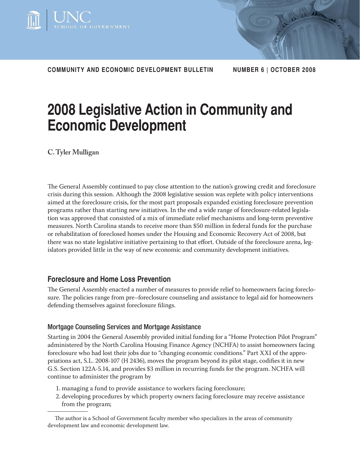

**COMMUNITY AND ECONOMIC DEVELOPMENT BULLETIN NUMBER 6 | OCTOBER 2008**

# **2008 Legislative Action in Community and Economic Development**

**C. Tyler Mulligan**

The General Assembly continued to pay close attention to the nation's growing credit and foreclosure crisis during this session. Although the 2008 legislative session was replete with policy interventions aimed at the foreclosure crisis, for the most part proposals expanded existing foreclosure prevention programs rather than starting new initiatives. In the end a wide range of foreclosure-related legislation was approved that consisted of a mix of immediate relief mechanisms and long-term preventive measures. North Carolina stands to receive more than \$50 million in federal funds for the purchase or rehabilitation of foreclosed homes under the Housing and Economic Recovery Act of 2008, but there was no state legislative initiative pertaining to that effort. Outside of the foreclosure arena, legislators provided little in the way of new economic and community development initiatives.

# **Foreclosure and Home Loss Prevention**

The General Assembly enacted a number of measures to provide relief to homeowners facing foreclosure. The policies range from pre–foreclosure counseling and assistance to legal aid for homeowners defending themselves against foreclosure filings.

# Mortgage Counseling Services and Mortgage Assistance

Starting in 2004 the General Assembly provided initial funding for a "Home Protection Pilot Program" administered by the North Carolina Housing Finance Agency (NCHFA) to assist homeowners facing foreclosure who had lost their jobs due to "changing economic conditions." Part XXI of the appropriations act, S.L. 2008-107 (H 2436), moves the program beyond its pilot stage, codifies it in new G.S. Section 122A-5.14, and provides \$3 million in recurring funds for the program. NCHFA will continue to administer the program by

- 1. managing a fund to provide assistance to workers facing foreclosure;
- 2. developing procedures by which property owners facing foreclosure may receive assistance from the program;

The author is a School of Government faculty member who specializes in the areas of community development law and economic development law.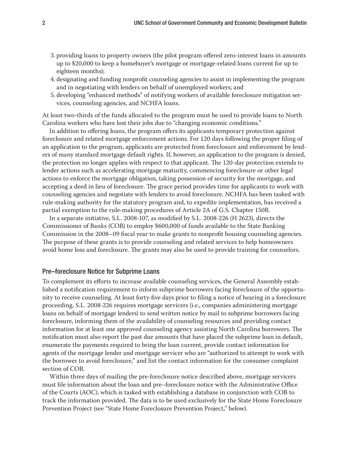- 3. providing loans to property owners (the pilot program offered zero-interest loans in amounts up to \$20,000 to keep a homebuyer's mortgage or mortgage-related loans current for up to eighteen months);
- 4. designating and funding nonprofit counseling agencies to assist in implementing the program and in negotiating with lenders on behalf of unemployed workers; and
- 5. developing "enhanced methods" of notifying workers of available foreclosure mitigation services, counseling agencies, and NCHFA loans.

At least two-thirds of the funds allocated to the program must be used to provide loans to North Carolina workers who have lost their jobs due to "changing economic conditions."

In addition to offering loans, the program offers its applicants temporary protection against foreclosure and related mortgage enforcement actions. For 120 days following the proper filing of an application to the program, applicants are protected from foreclosure and enforcement by lenders of many standard mortgage default rights. If, however, an application to the program is denied, the protection no longer applies with respect to that applicant. The 120-day protection extends to lender actions such as accelerating mortgage maturity, commencing foreclosure or other legal actions to enforce the mortgage obligation, taking possession of security for the mortgage, and accepting a deed in lieu of foreclosure. The grace period provides time for applicants to work with counseling agencies and negotiate with lenders to avoid foreclosure. NCHFA has been tasked with rule-making authority for the statutory program and, to expedite implementation, has received a partial exemption to the rule-making procedures of Article 2A of G.S. Chapter 150B.

In a separate initiative, S.L. 2008-107, as modified by S.L. 2008-226 (H 2623), directs the Commissioner of Banks (COB) to employ \$600,000 of funds available to the State Banking Commission in the 2008–09 fiscal year to make grants to nonprofit housing counseling agencies. The purpose of these grants is to provide counseling and related services to help homeowners avoid home loss and foreclosure. The grants may also be used to provide training for counselors.

#### Pre–foreclosure Notice for Subprime Loans

To complement its efforts to increase available counseling services, the General Assembly established a notification requirement to inform subprime borrowers facing foreclosure of the opportunity to receive counseling. At least forty-five days prior to filing a notice of hearing in a foreclosure proceeding, S.L. 2008-226 requires mortgage servicers (i.e., companies administering mortgage loans on behalf of mortgage lenders) to send written notice by mail to subprime borrowers facing foreclosure, informing them of the availability of counseling resources and providing contact information for at least one approved counseling agency assisting North Carolina borrowers. The notification must also report the past due amounts that have placed the subprime loan in default, enumerate the payments required to bring the loan current, provide contact information for agents of the mortgage lender and mortgage servicer who are "authorized to attempt to work with the borrower to avoid foreclosure," and list the contact information for the consumer complaint section of COB.

Within three days of mailing the pre-foreclosure notice described above, mortgage servicers must file information about the loan and pre–foreclosure notice with the Administrative Office of the Courts (AOC), which is tasked with establishing a database in conjunction with COB to track the information provided. The data is to be used exclusively for the State Home Foreclosure Prevention Project (see "State Home Foreclosure Prevention Project," below).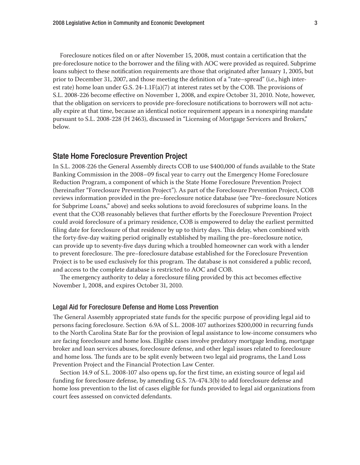Foreclosure notices filed on or after November 15, 2008, must contain a certification that the pre-foreclosure notice to the borrower and the filing with AOC were provided as required. Subprime loans subject to these notification requirements are those that originated after January 1, 2005, but prior to December 31, 2007, and those meeting the definition of a "rate–spread" (i.e., high interest rate) home loan under G.S. 24-1.1 $F(a)(7)$  at interest rates set by the COB. The provisions of S.L. 2008-226 become effective on November 1, 2008, and expire October 31, 2010. Note, however, that the obligation on servicers to provide pre-foreclosure notifications to borrowers will not actually expire at that time, because an identical notice requirement appears in a nonexpiring mandate pursuant to S.L. 2008-228 (H 2463), discussed in "Licensing of Mortgage Servicers and Brokers," below.

#### **State Home Foreclosure Prevention Project**

In S.L. 2008-226 the General Assembly directs COB to use \$400,000 of funds available to the State Banking Commission in the 2008–09 fiscal year to carry out the Emergency Home Foreclosure Reduction Program, a component of which is the State Home Foreclosure Prevention Project (hereinafter "Foreclosure Prevention Project"). As part of the Foreclosure Prevention Project, COB reviews information provided in the pre–foreclosure notice database (see "Pre–foreclosure Notices for Subprime Loans," above) and seeks solutions to avoid foreclosures of subprime loans. In the event that the COB reasonably believes that further efforts by the Foreclosure Prevention Project could avoid foreclosure of a primary residence, COB is empowered to delay the earliest permitted filing date for foreclosure of that residence by up to thirty days. This delay, when combined with the forty-five-day waiting period originally established by mailing the pre–foreclosure notice, can provide up to seventy-five days during which a troubled homeowner can work with a lender to prevent foreclosure. The pre–foreclosure database established for the Foreclosure Prevention Project is to be used exclusively for this program. The database is not considered a public record, and access to the complete database is restricted to AOC and COB.

The emergency authority to delay a foreclosure filing provided by this act becomes effective November 1, 2008, and expires October 31, 2010.

#### Legal Aid for Foreclosure Defense and Home Loss Prevention

The General Assembly appropriated state funds for the specific purpose of providing legal aid to persons facing foreclosure. Section 6.9A of S.L. 2008-107 authorizes \$200,000 in recurring funds to the North Carolina State Bar for the provision of legal assistance to low-income consumers who are facing foreclosure and home loss. Eligible cases involve predatory mortgage lending, mortgage broker and loan services abuses, foreclosure defense, and other legal issues related to foreclosure and home loss. The funds are to be split evenly between two legal aid programs, the Land Loss Prevention Project and the Financial Protection Law Center.

Section 14.9 of S.L. 2008-107 also opens up, for the first time, an existing source of legal aid funding for foreclosure defense, by amending G.S. 7A-474.3(b) to add foreclosure defense and home loss prevention to the list of cases eligible for funds provided to legal aid organizations from court fees assessed on convicted defendants.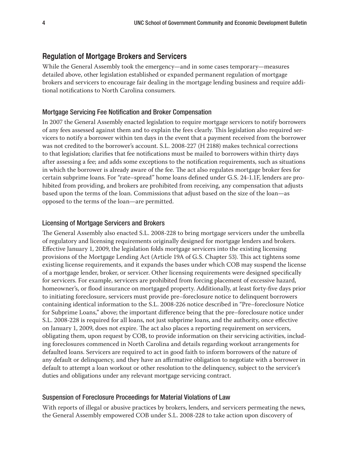# **Regulation of Mortgage Brokers and Servicers**

While the General Assembly took the emergency—and in some cases temporary—measures detailed above, other legislation established or expanded permanent regulation of mortgage brokers and servicers to encourage fair dealing in the mortgage lending business and require additional notifications to North Carolina consumers.

# Mortgage Servicing Fee Notification and Broker Compensation

In 2007 the General Assembly enacted legislation to require mortgage servicers to notify borrowers of any fees assessed against them and to explain the fees clearly. This legislation also required servicers to notify a borrower within ten days in the event that a payment received from the borrower was not credited to the borrower's account. S.L. 2008-227 (H 2188) makes technical corrections to that legislation; clarifies that fee notifications must be mailed to borrowers within thirty days after assessing a fee; and adds some exceptions to the notification requirements, such as situations in which the borrower is already aware of the fee. The act also regulates mortgage broker fees for certain subprime loans. For "rate–spread" home loans defined under G.S. 24-1.1F, lenders are prohibited from providing, and brokers are prohibited from receiving, any compensation that adjusts based upon the terms of the loan. Commissions that adjust based on the size of the loan—as opposed to the terms of the loan—are permitted.

### Licensing of Mortgage Servicers and Brokers

The General Assembly also enacted S.L. 2008-228 to bring mortgage servicers under the umbrella of regulatory and licensing requirements originally designed for mortgage lenders and brokers. Effective January 1, 2009, the legislation folds mortgage servicers into the existing licensing provisions of the Mortgage Lending Act (Article 19A of G.S. Chapter 53). This act tightens some existing license requirements, and it expands the bases under which COB may suspend the license of a mortgage lender, broker, or servicer. Other licensing requirements were designed specifically for servicers. For example, servicers are prohibited from forcing placement of excessive hazard, homeowner's, or flood insurance on mortgaged property. Additionally, at least forty-five days prior to initiating foreclosure, servicers must provide pre–foreclosure notice to delinquent borrowers containing identical information to the S.L. 2008-226 notice described in "Pre–foreclosure Notice for Subprime Loans," above; the important difference being that the pre–foreclosure notice under S.L. 2008-228 is required for all loans, not just subprime loans, and the authority, once effective on January 1, 2009, does not expire. The act also places a reporting requirement on servicers, obligating them, upon request by COB, to provide information on their servicing activities, including foreclosures commenced in North Carolina and details regarding workout arrangements for defaulted loans. Servicers are required to act in good faith to inform borrowers of the nature of any default or delinquency, and they have an affirmative obligation to negotiate with a borrower in default to attempt a loan workout or other resolution to the delinquency, subject to the servicer's duties and obligations under any relevant mortgage servicing contract.

#### Suspension of Foreclosure Proceedings for Material Violations of Law

With reports of illegal or abusive practices by brokers, lenders, and servicers permeating the news, the General Assembly empowered COB under S.L. 2008-228 to take action upon discovery of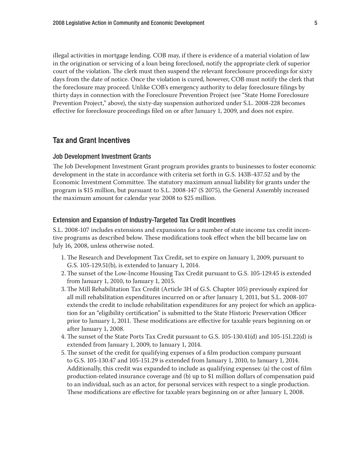illegal activities in mortgage lending. COB may, if there is evidence of a material violation of law in the origination or servicing of a loan being foreclosed, notify the appropriate clerk of superior court of the violation. The clerk must then suspend the relevant foreclosure proceedings for sixty days from the date of notice. Once the violation is cured, however, COB must notify the clerk that the foreclosure may proceed. Unlike COB's emergency authority to delay foreclosure filings by thirty days in connection with the Foreclosure Prevention Project (see "State Home Foreclosure Prevention Project," above), the sixty-day suspension authorized under S.L. 2008-228 becomes effective for foreclosure proceedings filed on or after January 1, 2009, and does not expire.

# **Tax and Grant Incentives**

#### Job Development Investment Grants

The Job Development Investment Grant program provides grants to businesses to foster economic development in the state in accordance with criteria set forth in G.S. 143B-437.52 and by the Economic Investment Committee. The statutory maximum annual liability for grants under the program is \$15 million, but pursuant to S.L. 2008-147 (S 2075), the General Assembly increased the maximum amount for calendar year 2008 to \$25 million.

#### Extension and Expansion of Industry-Targeted Tax Credit Incentives

S.L. 2008-107 includes extensions and expansions for a number of state income tax credit incentive programs as described below. These modifications took effect when the bill became law on July 16, 2008, unless otherwise noted.

- 1. The Research and Development Tax Credit, set to expire on January 1, 2009, pursuant to G.S. 105-129.51(b), is extended to January 1, 2014.
- 2. The sunset of the Low-Income Housing Tax Credit pursuant to G.S. 105-129.45 is extended from January 1, 2010, to January 1, 2015.
- 3. The Mill Rehabilitation Tax Credit (Article 3H of G.S. Chapter 105) previously expired for all mill rehabilitation expenditures incurred on or after January 1, 2011, but S.L. 2008-107 extends the credit to include rehabilitation expenditures for any project for which an application for an "eligibility certification" is submitted to the State Historic Preservation Officer prior to January 1, 2011. These modifications are effective for taxable years beginning on or after January 1, 2008.
- 4. The sunset of the State Ports Tax Credit pursuant to G.S. 105-130.41(d) and 105-151.22(d) is extended from January 1, 2009, to January 1, 2014.
- 5. The sunset of the credit for qualifying expenses of a film production company pursuant to G.S. 105-130.47 and 105-151.29 is extended from January 1, 2010, to January 1, 2014. Additionally, this credit was expanded to include as qualifying expenses: (a) the cost of film production-related insurance coverage and (b) up to \$1 million dollars of compensation paid to an individual, such as an actor, for personal services with respect to a single production. These modifications are effective for taxable years beginning on or after January 1, 2008.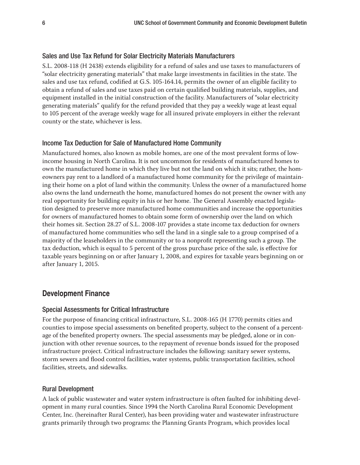## Sales and Use Tax Refund for Solar Electricity Materials Manufacturers

S.L. 2008-118 (H 2438) extends eligibility for a refund of sales and use taxes to manufacturers of "solar electricity generating materials" that make large investments in facilities in the state. The sales and use tax refund, codified at G.S. 105-164.14, permits the owner of an eligible facility to obtain a refund of sales and use taxes paid on certain qualified building materials, supplies, and equipment installed in the initial construction of the facility. Manufacturers of "solar electricity generating materials" qualify for the refund provided that they pay a weekly wage at least equal to 105 percent of the average weekly wage for all insured private employers in either the relevant county or the state, whichever is less.

### Income Tax Deduction for Sale of Manufactured Home Community

Manufactured homes, also known as mobile homes, are one of the most prevalent forms of lowincome housing in North Carolina. It is not uncommon for residents of manufactured homes to own the manufactured home in which they live but not the land on which it sits; rather, the homeowners pay rent to a landlord of a manufactured home community for the privilege of maintaining their home on a plot of land within the community. Unless the owner of a manufactured home also owns the land underneath the home, manufactured homes do not present the owner with any real opportunity for building equity in his or her home. The General Assembly enacted legislation designed to preserve more manufactured home communities and increase the opportunities for owners of manufactured homes to obtain some form of ownership over the land on which their homes sit. Section 28.27 of S.L. 2008-107 provides a state income tax deduction for owners of manufactured home communities who sell the land in a single sale to a group comprised of a majority of the leaseholders in the community or to a nonprofit representing such a group. The tax deduction, which is equal to 5 percent of the gross purchase price of the sale, is effective for taxable years beginning on or after January 1, 2008, and expires for taxable years beginning on or after January 1, 2015.

# **Development Finance**

#### Special Assessments for Critical Infrastructure

For the purpose of financing critical infrastructure, S.L. 2008-165 (H 1770) permits cities and counties to impose special assessments on benefited property, subject to the consent of a percentage of the benefited property owners. The special assessments may be pledged, alone or in conjunction with other revenue sources, to the repayment of revenue bonds issued for the proposed infrastructure project. Critical infrastructure includes the following: sanitary sewer systems, storm sewers and flood control facilities, water systems, public transportation facilities, school facilities, streets, and sidewalks.

#### Rural Development

A lack of public wastewater and water system infrastructure is often faulted for inhibiting development in many rural counties. Since 1994 the North Carolina Rural Economic Development Center, Inc. (hereinafter Rural Center), has been providing water and wastewater infrastructure grants primarily through two programs: the Planning Grants Program, which provides local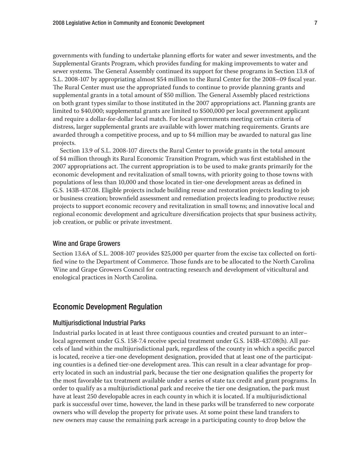governments with funding to undertake planning efforts for water and sewer investments, and the Supplemental Grants Program, which provides funding for making improvements to water and sewer systems. The General Assembly continued its support for these programs in Section 13.8 of S.L. 2008-107 by appropriating almost \$54 million to the Rural Center for the 2008-09 fiscal year. The Rural Center must use the appropriated funds to continue to provide planning grants and supplemental grants in a total amount of \$50 million. The General Assembly placed restrictions on both grant types similar to those instituted in the 2007 appropriations act. Planning grants are limited to \$40,000; supplemental grants are limited to \$500,000 per local government applicant and require a dollar-for-dollar local match. For local governments meeting certain criteria of distress, larger supplemental grants are available with lower matching requirements. Grants are awarded through a competitive process, and up to \$4 million may be awarded to natural gas line projects.

Section 13.9 of S.L. 2008-107 directs the Rural Center to provide grants in the total amount of \$4 million through its Rural Economic Transition Program, which was first established in the 2007 appropriations act. The current appropriation is to be used to make grants primarily for the economic development and revitalization of small towns, with priority going to those towns with populations of less than 10,000 and those located in tier-one development areas as defined in G.S. 143B-437.08. Eligible projects include building reuse and restoration projects leading to job or business creation; brownfield assessment and remediation projects leading to productive reuse; projects to support economic recovery and revitalization in small towns; and innovative local and regional economic development and agriculture diversification projects that spur business activity, job creation, or public or private investment.

#### Wine and Grape Growers

Section 13.6A of S.L. 2008-107 provides \$25,000 per quarter from the excise tax collected on fortified wine to the Department of Commerce. Those funds are to be allocated to the North Carolina Wine and Grape Growers Council for contracting research and development of viticultural and enological practices in North Carolina.

#### **Economic Development Regulation**

#### Multijurisdictional Industrial Parks

Industrial parks located in at least three contiguous counties and created pursuant to an inter– local agreement under G.S. 158-7.4 receive special treatment under G.S. 143B-437.08(h). All parcels of land within the multijurisdictional park, regardless of the county in which a specific parcel is located, receive a tier-one development designation, provided that at least one of the participating counties is a defined tier-one development area. This can result in a clear advantage for property located in such an industrial park, because the tier one designation qualifies the property for the most favorable tax treatment available under a series of state tax credit and grant programs. In order to qualify as a multijurisdictional park and receive the tier one designation, the park must have at least 250 developable acres in each county in which it is located. If a multijurisdictional park is successful over time, however, the land in these parks will be transferred to new corporate owners who will develop the property for private uses. At some point these land transfers to new owners may cause the remaining park acreage in a participating county to drop below the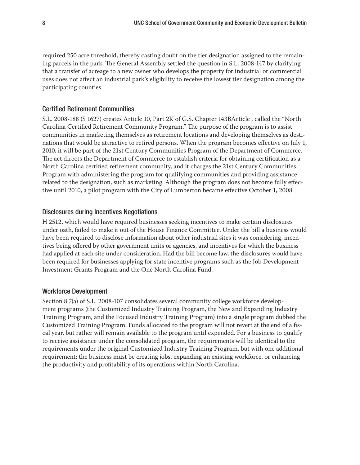required 250 acre threshold, thereby casting doubt on the tier designation assigned to the remaining parcels in the park. The General Assembly settled the question in S.L. 2008-147 by clarifying that a transfer of acreage to a new owner who develops the property for industrial or commercial uses does not affect an industrial park's eligibility to receive the lowest tier designation among the participating counties.

#### **Certified Retirement Communities**

S.L. 2008-188 (S 1627) creates Article 10, Part 2K of G.S. Chapter 143BArticle , called the "North Carolina Certified Retirement Community Program." The purpose of the program is to assist communities in marketing themselves as retirement locations and developing themselves as destinations that would be attractive to retired persons. When the program becomes effective on July 1, 2010, it will be part of the 21st Century Communities Program of the Department of Commerce. The act directs the Department of Commerce to establish criteria for obtaining certification as a North Carolina certified retirement community, and it charges the 21st Century Communities Program with administering the program for qualifying communities and providing assistance related to the designation, such as marketing. Although the program does not become fully effective until 2010, a pilot program with the City of Lumberton became effective October 1, 2008.

#### Disclosures during Incentives Negotiations

H 2512, which would have required businesses seeking incentives to make certain disclosures under oath, failed to make it out of the House Finance Committee. Under the bill a business would have been required to disclose information about other industrial sites it was considering, incentives being offered by other government units or agencies, and incentives for which the business had applied at each site under consideration. Had the bill become law, the disclosures would have been required for businesses applying for state incentive programs such as the Job Development Investment Grants Program and the One North Carolina Fund.

#### Workforce Development

Section 8.7(a) of S.L. 2008-107 consolidates several community college workforce development programs (the Customized Industry Training Program, the New and Expanding Industry Training Program, and the Focused Industry Training Program) into a single program dubbed the Customized Training Program. Funds allocated to the program will not revert at the end of a fiscal year, but rather will remain available to the program until expended. For a business to qualify to receive assistance under the consolidated program, the requirements will be identical to the requirements under the original Customized Industry Training Program, but with one additional requirement: the business must be creating jobs, expanding an existing workforce, or enhancing the productivity and profitability of its operations within North Carolina.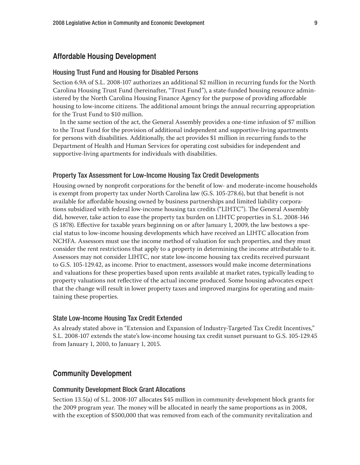### **Affordable Housing Development**

#### Housing Trust Fund and Housing for Disabled Persons

Section 6.9A of S.L. 2008-107 authorizes an additional \$2 million in recurring funds for the North Carolina Housing Trust Fund (hereinafter, "Trust Fund"), a state-funded housing resource administered by the North Carolina Housing Finance Agency for the purpose of providing affordable housing to low-income citizens. The additional amount brings the annual recurring appropriation for the Trust Fund to \$10 million.

In the same section of the act, the General Assembly provides a one-time infusion of \$7 million to the Trust Fund for the provision of additional independent and supportive-living apartments for persons with disabilities. Additionally, the act provides \$1 million in recurring funds to the Department of Health and Human Services for operating cost subsidies for independent and supportive-living apartments for individuals with disabilities.

#### Property Tax Assessment for Low-Income Housing Tax Credit Developments

Housing owned by nonprofit corporations for the benefit of low- and moderate-income households is exempt from property tax under North Carolina law (G.S. 105-278.6), but that benefit is not available for affordable housing owned by business partnerships and limited liability corporations subsidized with federal low-income housing tax credits ("LIHTC"). The General Assembly did, however, take action to ease the property tax burden on LIHTC properties in S.L. 2008-146  $(S. 1878)$ . Effective for taxable years beginning on or after January 1, 2009, the law bestows a special status to low-income housing developments which have received an LIHTC allocation from NCHFA. Assessors must use the income method of valuation for such properties, and they must consider the rent restrictions that apply to a property in determining the income attributable to it. Assessors may not consider LIHTC, nor state low-income housing tax credits received pursuant to G.S. 105-129.42, as income. Prior to enactment, assessors would make income determinations and valuations for these properties based upon rents available at market rates, typically leading to property valuations not reflective of the actual income produced. Some housing advocates expect that the change will result in lower property taxes and improved margins for operating and maintaining these properties.

#### State Low-Income Housing Tax Credit Extended

As already stated above in "Extension and Expansion of Industry-Targeted Tax Credit Incentives," S.L. 2008-107 extends the state's low-income housing tax credit sunset pursuant to G.S. 105-129.45 from January 1, 2010, to January 1, 2015.

#### **Community Development**

#### Community Development Block Grant Allocations

Section 13.5(a) of S.L. 2008-107 allocates \$45 million in community development block grants for the 2009 program year. The money will be allocated in nearly the same proportions as in 2008, with the exception of \$500,000 that was removed from each of the community revitalization and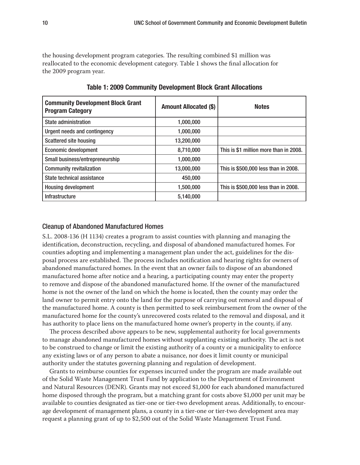the housing development program categories. The resulting combined \$1 million was reallocated to the economic development category. Table 1 shows the final allocation for the 2009 program year.

| <b>Community Development Block Grant</b><br><b>Program Category</b> | <b>Amount Allocated (\$)</b> | <b>Notes</b>                           |
|---------------------------------------------------------------------|------------------------------|----------------------------------------|
| <b>State administration</b>                                         | 1,000,000                    |                                        |
| Urgent needs and contingency                                        | 1,000,000                    |                                        |
| <b>Scattered site housing</b>                                       | 13,200,000                   |                                        |
| <b>Economic development</b>                                         | 8,710,000                    | This is \$1 million more than in 2008. |
| Small business/entrepreneurship                                     | 1,000,000                    |                                        |
| <b>Community revitalization</b>                                     | 13,000,000                   | This is \$500,000 less than in 2008.   |
| State technical assistance                                          | 450,000                      |                                        |
| <b>Housing development</b>                                          | 1,500,000                    | This is \$500,000 less than in 2008.   |
| <b>Infrastructure</b>                                               | 5,140,000                    |                                        |

**Table 1: 2009 Community Development Block Grant Allocations**

#### Cleanup of Abandoned Manufactured Homes

S.L. 2008-136 (H 1134) creates a program to assist counties with planning and managing the identification, deconstruction, recycling, and disposal of abandoned manufactured homes. For counties adopting and implementing a management plan under the act, guidelines for the disposal process are established. The process includes notification and hearing rights for owners of abandoned manufactured homes. In the event that an owner fails to dispose of an abandoned manufactured home after notice and a hearing, a participating county may enter the property to remove and dispose of the abandoned manufactured home. If the owner of the manufactured home is not the owner of the land on which the home is located, then the county may order the land owner to permit entry onto the land for the purpose of carrying out removal and disposal of the manufactured home. A county is then permitted to seek reimbursement from the owner of the manufactured home for the county's unrecovered costs related to the removal and disposal, and it has authority to place liens on the manufactured home owner's property in the county, if any.

The process described above appears to be new, supplemental authority for local governments to manage abandoned manufactured homes without supplanting existing authority. The act is not to be construed to change or limit the existing authority of a county or a municipality to enforce any existing laws or of any person to abate a nuisance, nor does it limit county or municipal authority under the statutes governing planning and regulation of development.

Grants to reimburse counties for expenses incurred under the program are made available out of the Solid Waste Management Trust Fund by application to the Department of Environment and Natural Resources (DENR). Grants may not exceed \$1,000 for each abandoned manufactured home disposed through the program, but a matching grant for costs above \$1,000 per unit may be available to counties designated as tier-one or tier-two development areas. Additionally, to encourage development of management plans, a county in a tier-one or tier-two development area may request a planning grant of up to \$2,500 out of the Solid Waste Management Trust Fund.